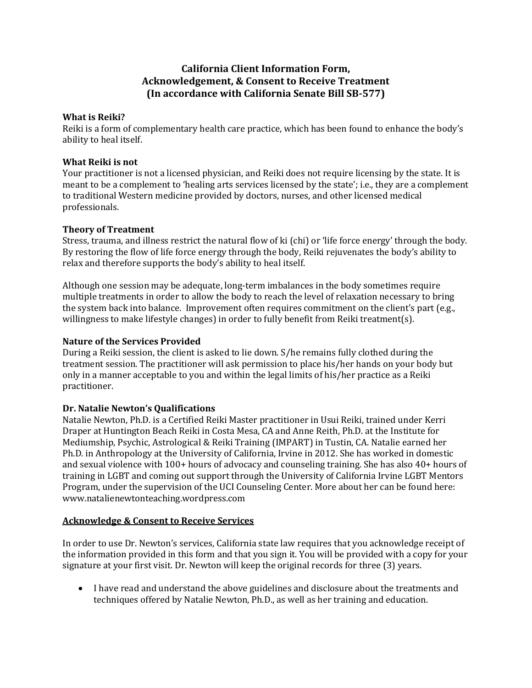# **California Client Information Form, Acknowledgement, & Consent to Receive Treatment (In accordance with California Senate Bill SB-577)**

### **What is Reiki?**

Reiki is a form of complementary health care practice, which has been found to enhance the body's ability to heal itself.

#### **What Reiki is not**

Your practitioner is not a licensed physician, and Reiki does not require licensing by the state. It is meant to be a complement to 'healing arts services licensed by the state'; i.e., they are a complement to traditional Western medicine provided by doctors, nurses, and other licensed medical professionals.

### **Theory of Treatment**

Stress, trauma, and illness restrict the natural flow of ki (chi) or 'life force energy' through the body. By restoring the flow of life force energy through the body, Reiki rejuvenates the body's ability to relax and therefore supports the body's ability to heal itself.

Although one session may be adequate, long-term imbalances in the body sometimes require multiple treatments in order to allow the body to reach the level of relaxation necessary to bring the system back into balance. Improvement often requires commitment on the client's part (e.g., willingness to make lifestyle changes) in order to fully benefit from Reiki treatment(s).

## **Nature of the Services Provided**

During a Reiki session, the client is asked to lie down. S/he remains fully clothed during the treatment session. The practitioner will ask permission to place his/her hands on your body but only in a manner acceptable to you and within the legal limits of his/her practice as a Reiki practitioner.

# **Dr. Natalie Newton's Qualifications**

Natalie Newton, Ph.D. is a Certified Reiki Master practitioner in Usui Reiki, trained under Kerri Draper at Huntington Beach Reiki in Costa Mesa, CA and Anne Reith, Ph.D. at the Institute for Mediumship, Psychic, Astrological & Reiki Training (IMPART) in Tustin, CA. Natalie earned her Ph.D. in Anthropology at the University of California, Irvine in 2012. She has worked in domestic and sexual violence with 100+ hours of advocacy and counseling training. She has also 40+ hours of training in LGBT and coming out support through the University of California Irvine LGBT Mentors Program, under the supervision of the UCI Counseling Center. More about her can be found here: www.natalienewtonteaching.wordpress.com

#### **Acknowledge & Consent to Receive Services**

In order to use Dr. Newton's services, California state law requires that you acknowledge receipt of the information provided in this form and that you sign it. You will be provided with a copy for your signature at your first visit. Dr. Newton will keep the original records for three (3) years.

• I have read and understand the above guidelines and disclosure about the treatments and techniques offered by Natalie Newton, Ph.D., as well as her training and education.